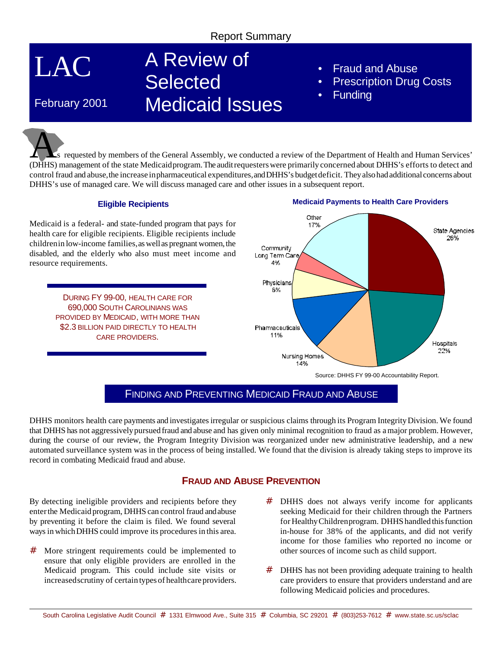# Report Summary

LAC

February 2001

# A Review of **Selected** Medicaid Issues

- Fraud and Abuse
- **Prescription Drug Costs**
- **Funding**

As requested by members of the General Assembly, we conducted a review of the Department of Health and Human Services' (DHHS) management of the state Medicaidprogram.The auditrequesterswere primarilyconcerned about DHHS's efforts to detect and control fraud and abuse,the increase inpharmaceutical expenditures,andDHHS's budgetdeficit. They also had additional concerns about DHHS's use of managed care. We will discuss managed care and other issues in a subsequent report.

#### **Eligible Recipients**

Medicaid is a federal- and state-funded program that pays for health care for eligible recipients. Eligible recipients include childrenin low-income families, as well as pregnant women, the disabled, and the elderly who also must meet income and resource requirements.

> DURING FY 99-00, HEALTH CARE FOR 690,000 SOUTH CAROLINIANS WAS PROVIDED BY MEDICAID, WITH MORE THAN \$2.3 BILLION PAID DIRECTLY TO HEALTH CARE PROVIDERS.

#### **Medicaid Payments to Health Care Providers**



# FINDING AND PREVENTING MEDICAID FRAUD AND ABUSE

DHHS monitors health care payments and investigates irregular or suspicious claims through its Program Integrity Division. We found that DHHS has not aggressivelypursuedfraud and abuse and has given only minimal recognition to fraud as amajor problem. However, during the course of our review, the Program Integrity Division was reorganized under new administrative leadership, and a new automated surveillance system was in the process of being installed. We found that the division is already taking steps to improve its record in combating Medicaid fraud and abuse.

## **FRAUD AND ABUSE PREVENTION**

By detecting ineligible providers and recipients before they enter the Medicaid program, DHHS can control fraud and abuse by preventing it before the claim is filed. We found several ways in which DHHS could improve its procedures in this area.

- # More stringent requirements could be implemented to ensure that only eligible providers are enrolled in the Medicaid program. This could include site visits or increasedscrutiny of certain typesof healthcare providers.
- # DHHS does not always verify income for applicants seeking Medicaid for their children through the Partners for Healthy Children program. DHHS handled this function in-house for 38% of the applicants, and did not verify income for those families who reported no income or other sources of income such as child support.
- # DHHS has not been providing adequate training to health care providers to ensure that providers understand and are following Medicaid policies and procedures.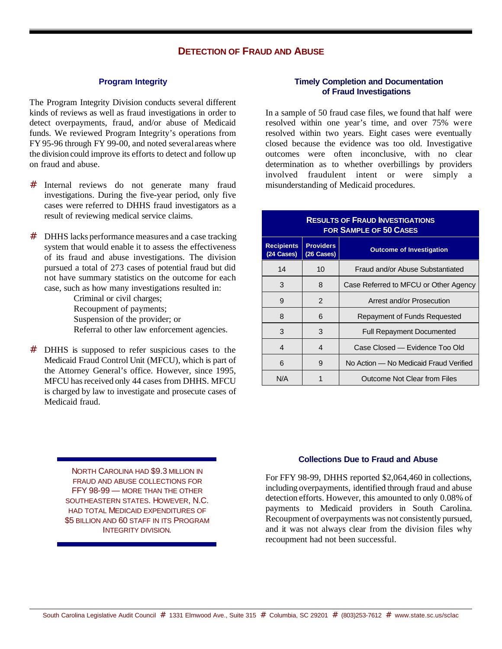### **DETECTION OF FRAUD AND ABUSE**

#### **Program Integrity**

The Program Integrity Division conducts several different kinds of reviews as well as fraud investigations in order to detect overpayments, fraud, and/or abuse of Medicaid funds. We reviewed Program Integrity's operations from FY 95-96 through FY 99-00, and noted several areas where the division could improve its efforts to detect and follow up on fraud and abuse.

- # Internal reviews do not generate many fraud investigations. During the five-year period, only five cases were referred to DHHS fraud investigators as a result of reviewing medical service claims.
- # DHHS lacks performance measures and a case tracking system that would enable it to assess the effectiveness of its fraud and abuse investigations. The division pursued a total of 273 cases of potential fraud but did not have summary statistics on the outcome for each case, such as how many investigations resulted in:

Criminal or civil charges; Recoupment of payments; Suspension of the provider; or Referral to other law enforcement agencies.

# DHHS is supposed to refer suspicious cases to the Medicaid Fraud Control Unit (MFCU), which is part of the Attorney General's office. However, since 1995, MFCU has received only 44 cases from DHHS. MFCU is charged by law to investigate and prosecute cases of Medicaid fraud.

#### NORTH CAROLINA HAD \$9.3 MILLION IN FRAUD AND ABUSE COLLECTIONS FOR FFY 98-99 — MORE THAN THE OTHER SOUTHEASTERN STATES. HOWEVER, N.C. HAD TOTAL MEDICAID EXPENDITURES OF \$5 BILLION AND 60 STAFF IN ITS PROGRAM INTEGRITY DIVISION.

#### **Timely Completion and Documentation of Fraud Investigations**

In a sample of 50 fraud case files, we found that half were resolved within one year's time, and over 75% were resolved within two years. Eight cases were eventually closed because the evidence was too old. Investigative outcomes were often inconclusive, with no clear determination as to whether overbillings by providers involved fraudulent intent or were simply a misunderstanding of Medicaid procedures.

#### **RESULTS OF FRAUD INVESTIGATIONS FOR SAMPLE OF 50 CASES**

| <b>Recipients</b><br>(24 Cases) | <b>Providers</b><br>(26 Cases) | <b>Outcome of Investigation</b>        |
|---------------------------------|--------------------------------|----------------------------------------|
| 14                              | 10                             | Fraud and/or Abuse Substantiated       |
| 3                               | 8                              | Case Referred to MFCU or Other Agency  |
| 9                               | 2                              | Arrest and/or Prosecution              |
| 8                               | 6                              | Repayment of Funds Requested           |
| 3                               | 3                              | <b>Full Repayment Documented</b>       |
| 4                               | 4                              | Case Closed — Evidence Too Old         |
| 6                               | 9                              | No Action – No Medicaid Fraud Verified |
| N/A                             | 1                              | Outcome Not Clear from Files           |

#### **Collections Due to Fraud and Abuse**

For FFY 98-99, DHHS reported \$2,064,460 in collections, including overpayments, identified through fraud and abuse detection efforts. However, this amounted to only 0.08% of payments to Medicaid providers in South Carolina. Recoupment of overpayments was not consistently pursued, and it was not always clear from the division files why recoupment had not been successful.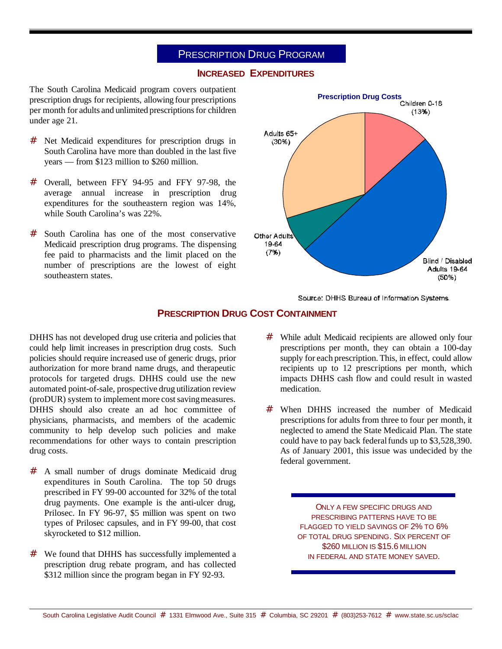## PRESCRIPTION DRUG PROGRAM

#### **INCREASED EXPENDITURES**

The South Carolina Medicaid program covers outpatient prescription drugs for recipients, allowing four prescriptions per month for adults and unlimited prescriptions for children under age 21.

- # Net Medicaid expenditures for prescription drugs in South Carolina have more than doubled in the last five years — from \$123 million to \$260 million.
- # Overall, between FFY 94-95 and FFY 97-98, the average annual increase in prescription drug expenditures for the southeastern region was 14%, while South Carolina's was 22%.
- # South Carolina has one of the most conservative Medicaid prescription drug programs. The dispensing fee paid to pharmacists and the limit placed on the number of prescriptions are the lowest of eight southeastern states.



Source: DHHS Bureau of Information Systems.

#### **PRESCRIPTION DRUG COST CONTAINMENT**

DHHS has not developed drug use criteria and policies that could help limit increases in prescription drug costs. Such policies should require increased use of generic drugs, prior authorization for more brand name drugs, and therapeutic protocols for targeted drugs. DHHS could use the new automated point-of-sale, prospective drug utilization review (proDUR) system to implement more cost saving measures. DHHS should also create an ad hoc committee of physicians, pharmacists, and members of the academic community to help develop such policies and make recommendations for other ways to contain prescription drug costs.

- # A small number of drugs dominate Medicaid drug expenditures in South Carolina. The top 50 drugs prescribed in FY 99-00 accounted for 32% of the total drug payments. One example is the anti-ulcer drug, Prilosec. In FY 96-97, \$5 million was spent on two types of Prilosec capsules, and in FY 99-00, that cost skyrocketed to \$12 million.
- # We found that DHHS has successfully implemented a prescription drug rebate program, and has collected \$312 million since the program began in FY 92-93.
- # While adult Medicaid recipients are allowed only four prescriptions per month, they can obtain a 100-day supply for each prescription. This, in effect, could allow recipients up to 12 prescriptions per month, which impacts DHHS cash flow and could result in wasted medication.
- # When DHHS increased the number of Medicaid prescriptions for adults from three to four per month, it neglected to amend the State Medicaid Plan. The state could have to pay back federal funds up to \$3,528,390. As of January 2001, this issue was undecided by the federal government.

ONLY A FEW SPECIFIC DRUGS AND PRESCRIBING PATTERNS HAVE TO BE FLAGGED TO YIELD SAVINGS OF 2% TO 6% OF TOTAL DRUG SPENDING. SIX PERCENT OF \$260 MILLION IS \$15.6 MILLION IN FEDERAL AND STATE MONEY SAVED.